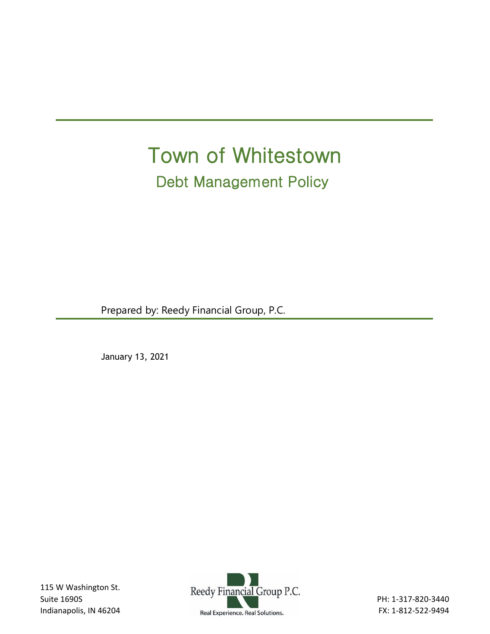# Town of Whitestown Debt Management Policy

Prepared by: Reedy Financial Group, P.C.

January 13, 2021

115 W Washington St. Suite 1690S Indianapolis, IN 46204

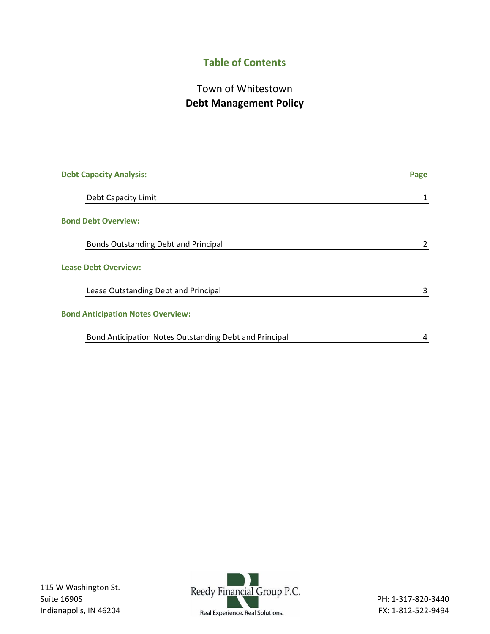# **Table of Contents**

# Town of Whitestown **Debt Management Policy**

| <b>Debt Capacity Analysis:</b>                         | Page |
|--------------------------------------------------------|------|
| Debt Capacity Limit                                    | 1    |
| <b>Bond Debt Overview:</b>                             |      |
| Bonds Outstanding Debt and Principal                   |      |
| <b>Lease Debt Overview:</b>                            |      |
| Lease Outstanding Debt and Principal                   | 3    |
| <b>Bond Anticipation Notes Overview:</b>               |      |
| Bond Anticipation Notes Outstanding Debt and Principal | 4    |

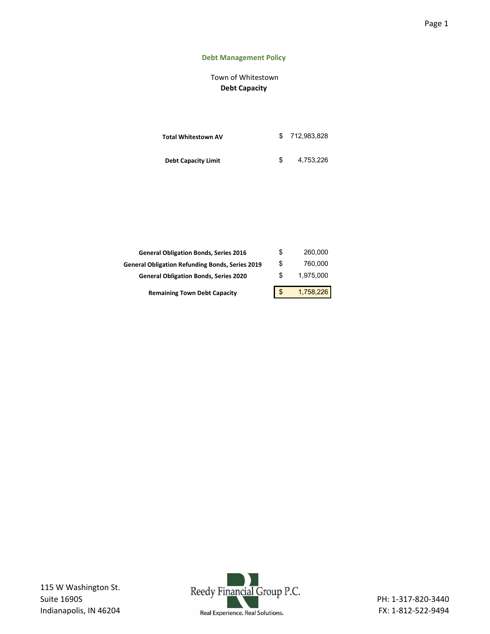## Page 1

## **Debt Management Policy**

# Town of Whitestown **Debt Capacity**

| <b>Total Whitestown AV</b> | \$712.983.828 |
|----------------------------|---------------|
| <b>Debt Capacity Limit</b> | 4.753.226     |

| <b>General Obligation Bonds, Series 2016</b>           | \$ | 260,000   |
|--------------------------------------------------------|----|-----------|
| <b>General Obligation Refunding Bonds, Series 2019</b> | \$ | 760.000   |
| <b>General Obligation Bonds, Series 2020</b>           | S  | 1.975.000 |
| <b>Remaining Town Debt Capacity</b>                    | \$ | 1,758,226 |

115 W Washington St. Suite 1690S Indianapolis, IN 46204

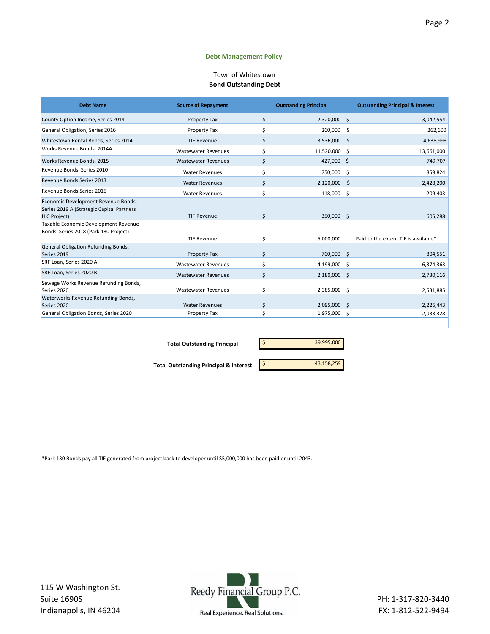#### **Debt Management Policy**

#### **Bond Outstanding Debt** Town of Whitestown

| <b>Debt Name</b>                                                                                 | <b>Source of Repayment</b> |    | <b>Outstanding Principal</b> |     | <b>Outstanding Principal &amp; Interest</b> |
|--------------------------------------------------------------------------------------------------|----------------------------|----|------------------------------|-----|---------------------------------------------|
| County Option Income, Series 2014                                                                | <b>Property Tax</b>        | \$ | 2,320,000 \$                 |     | 3,042,554                                   |
| General Obligation, Series 2016                                                                  | Property Tax               | \$ | 260,000                      | \$. | 262,600                                     |
| Whitestown Rental Bonds, Series 2014                                                             | <b>TIF Revenue</b>         | \$ | 3,536,000 \$                 |     | 4,638,998                                   |
| Works Revenue Bonds, 2014A                                                                       | <b>Wastewater Revenues</b> | \$ | 11,520,000 \$                |     | 13,661,000                                  |
| Works Revenue Bonds, 2015                                                                        | <b>Wastewater Revenues</b> | \$ | 427,000 \$                   |     | 749,707                                     |
| Revenue Bonds, Series 2010                                                                       | <b>Water Revenues</b>      | \$ | 750,000                      | -Ś  | 859,824                                     |
| Revenue Bonds Series 2013                                                                        | <b>Water Revenues</b>      | Ś  | 2,120,000                    | S   | 2,428,200                                   |
| Revenue Bonds Series 2015                                                                        | <b>Water Revenues</b>      | \$ | 118,000                      | -\$ | 209,403                                     |
| Economic Development Revenue Bonds,<br>Series 2019 A (Strategic Capital Partners<br>LLC Project) | <b>TIF Revenue</b>         | \$ | 350,000 \$                   |     | 605,288                                     |
| Taxable Economic Development Revenue<br>Bonds, Series 2018 (Park 130 Project)                    | <b>TIF Revenue</b>         | \$ | 5.000.000                    |     | Paid to the extent TIF is available*        |
| General Obligation Refunding Bonds,                                                              |                            |    |                              |     |                                             |
| Series 2019                                                                                      | <b>Property Tax</b>        | \$ | 760,000 \$                   |     | 804,551                                     |
| SRF Loan, Series 2020 A                                                                          | <b>Wastewater Revenues</b> | Ś  | 4,199,000 \$                 |     | 6,374,363                                   |
| SRF Loan, Series 2020 B                                                                          | <b>Wastewater Revenues</b> | \$ | 2,180,000 \$                 |     | 2,730,116                                   |
| Sewage Works Revenue Refunding Bonds,                                                            |                            |    |                              |     |                                             |
| Series 2020                                                                                      | <b>Wastewater Revenues</b> | \$ | 2,385,000 \$                 |     | 2,531,885                                   |
| Waterworks Revenue Refunding Bonds,                                                              |                            |    |                              |     |                                             |
| Series 2020                                                                                      | <b>Water Revenues</b>      | \$ | 2,095,000 \$                 |     | 2,226,443                                   |
| General Obligation Bonds, Series 2020                                                            | Property Tax               |    | 1,975,000                    | -S  | 2,033,328                                   |
|                                                                                                  |                            |    |                              |     |                                             |

**Total Outstanding Principal** \$ 39,995,000

**Total Outstanding Principal & Interest 1988 11 12 13,158,259** 

\*Park 130 Bonds pay all TIF generated from project back to developer until \$5,000,000 has been paid or until 2043.

115 W Washington St. Suite 1690S Indianapolis, IN 46204

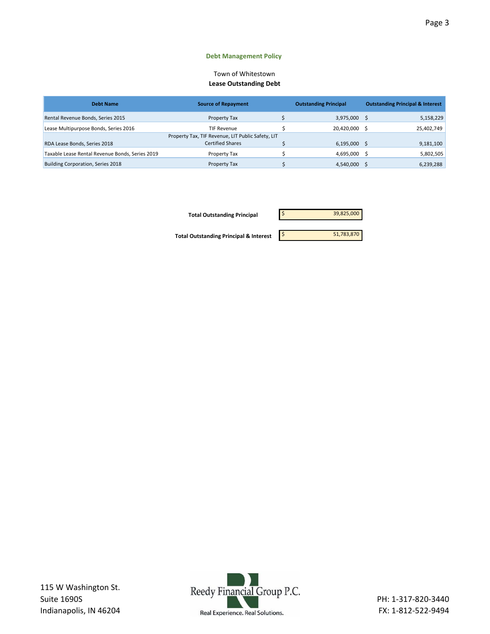#### **Debt Management Policy**

#### Town of Whitestown **Lease Outstanding Debt**

| <b>Debt Name</b>                                | <b>Source of Repayment</b>                        | <b>Outstanding Principal</b> | <b>Outstanding Principal &amp; Interest</b> |
|-------------------------------------------------|---------------------------------------------------|------------------------------|---------------------------------------------|
| Rental Revenue Bonds, Series 2015               | Property Tax                                      | 3,975,000                    | 5,158,229                                   |
| Lease Multipurpose Bonds, Series 2016           | <b>TIF Revenue</b>                                | 20,420,000                   | 25,402,749                                  |
|                                                 | Property Tax, TIF Revenue, LIT Public Safety, LIT |                              |                                             |
| RDA Lease Bonds, Series 2018                    | <b>Certified Shares</b>                           | 6,195,000                    | 9,181,100                                   |
| Taxable Lease Rental Revenue Bonds, Series 2019 | Property Tax                                      | 4,695,000                    | 5,802,505                                   |
| Building Corporation, Series 2018               | Property Tax                                      | 4,540,000                    | 6,239,288                                   |



115 W Washington St. Suite 1690S Indianapolis, IN 46204